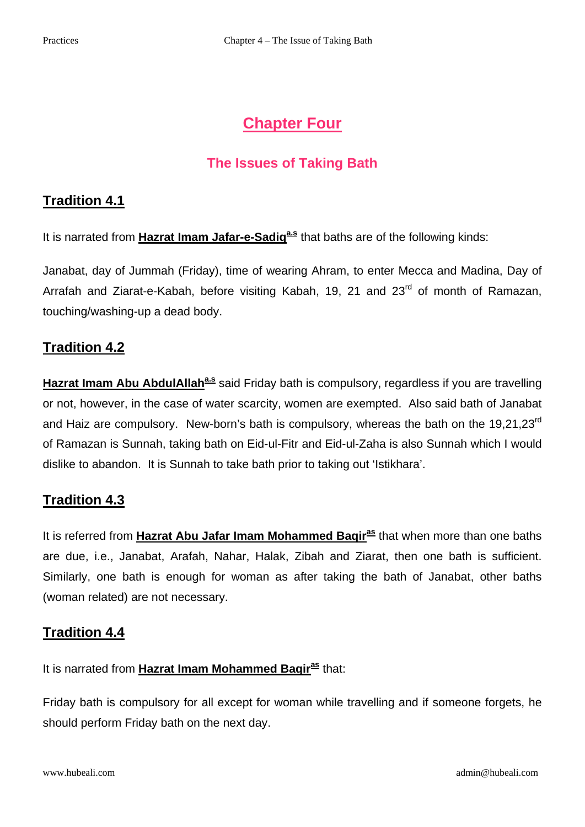# **Chapter Four**

# **The Issues of Taking Bath**

# **Tradition 4.1**

It is narrated from **Hazrat Imam Jafar-e-Sadig<sup>a.s</sup> that baths are of the following kinds:** 

Janabat, day of Jummah (Friday), time of wearing Ahram, to enter Mecca and Madina, Day of Arrafah and Ziarat-e-Kabah, before visiting Kabah, 19, 21 and 23<sup>rd</sup> of month of Ramazan, touching/washing-up a dead body.

### **Tradition 4.2**

**Hazrat Imam Abu AbdulAllah<sup>a.s</sup> said Friday bath is compulsory, regardless if you are travelling** or not, however, in the case of water scarcity, women are exempted. Also said bath of Janabat and Haiz are compulsory. New-born's bath is compulsory, whereas the bath on the 19,21,23<sup>rd</sup> of Ramazan is Sunnah, taking bath on Eid-ul-Fitr and Eid-ul-Zaha is also Sunnah which I would dislike to abandon. It is Sunnah to take bath prior to taking out 'Istikhara'.

# **Tradition 4.3**

It is referred from **Hazrat Abu Jafar Imam Mohammed Baqiras** that when more than one baths are due, i.e., Janabat, Arafah, Nahar, Halak, Zibah and Ziarat, then one bath is sufficient. Similarly, one bath is enough for woman as after taking the bath of Janabat, other baths (woman related) are not necessary.

### **Tradition 4.4**

It is narrated from **Hazrat Imam Mohammed Baqiras** that:

Friday bath is compulsory for all except for woman while travelling and if someone forgets, he should perform Friday bath on the next day.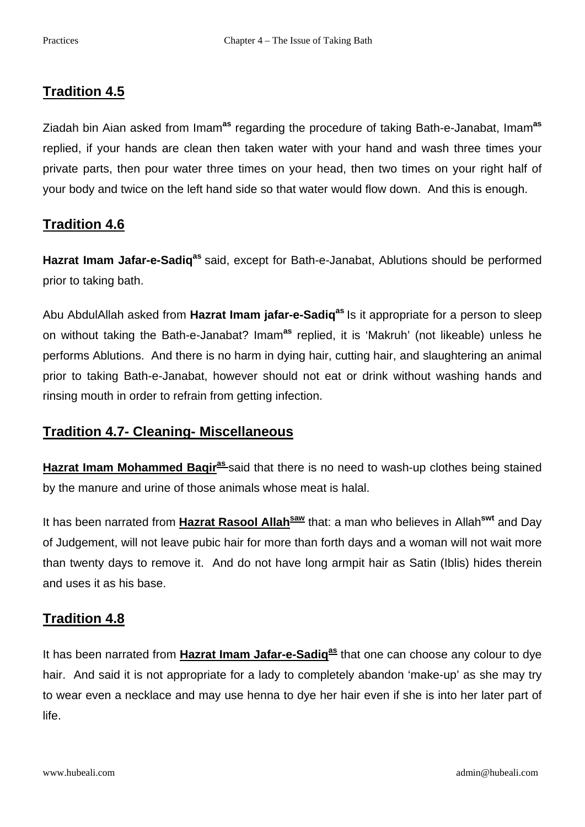# **Tradition 4.5**

Ziadah bin Aian asked from Imam**as** regarding the procedure of taking Bath-e-Janabat, Imam**as** replied, if your hands are clean then taken water with your hand and wash three times your private parts, then pour water three times on your head, then two times on your right half of your body and twice on the left hand side so that water would flow down. And this is enough.

# **Tradition 4.6**

Hazrat Imam Jafar-e-Sadiq<sup>as</sup> said, except for Bath-e-Janabat, Ablutions should be performed prior to taking bath.

Abu AbdulAllah asked from **Hazrat Imam jafar-e-Sadiqas** Is it appropriate for a person to sleep on without taking the Bath-e-Janabat? Imam**as** replied, it is 'Makruh' (not likeable) unless he performs Ablutions. And there is no harm in dying hair, cutting hair, and slaughtering an animal prior to taking Bath-e-Janabat, however should not eat or drink without washing hands and rinsing mouth in order to refrain from getting infection.

# **Tradition 4.7- Cleaning- Miscellaneous**

**Hazrat Imam Mohammed Baqiras** said that there is no need to wash-up clothes being stained by the manure and urine of those animals whose meat is halal.

It has been narrated from **Hazrat Rasool Allah**<sup>saw</sup> that: a man who believes in Allah<sup>swt</sup> and Day of Judgement, will not leave pubic hair for more than forth days and a woman will not wait more than twenty days to remove it. And do not have long armpit hair as Satin (Iblis) hides therein and uses it as his base.

# **Tradition 4.8**

It has been narrated from **Hazrat Imam Jafar-e-Sadig<sup>as</sup> that one can choose any colour to dye** hair. And said it is not appropriate for a lady to completely abandon 'make-up' as she may try to wear even a necklace and may use henna to dye her hair even if she is into her later part of life.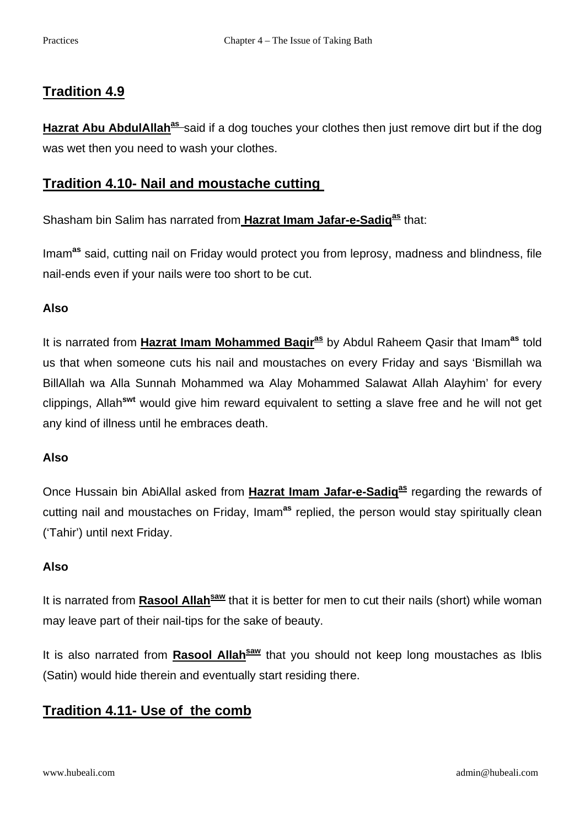# **Tradition 4.9**

**Hazrat Abu AbdulAllah<sup>as</sup>** said if a dog touches your clothes then just remove dirt but if the dog was wet then you need to wash your clothes.

### **Tradition 4.10- Nail and moustache cutting**

Shasham bin Salim has narrated from **Hazrat Imam Jafar-e-Sadiq<sup>as</sup> that:** 

Imam**as** said, cutting nail on Friday would protect you from leprosy, madness and blindness, file nail-ends even if your nails were too short to be cut.

#### **Also**

It is narrated from **Hazrat Imam Mohammed Baqiras** by Abdul Raheem Qasir that Imam**as** told us that when someone cuts his nail and moustaches on every Friday and says 'Bismillah wa BillAllah wa Alla Sunnah Mohammed wa Alay Mohammed Salawat Allah Alayhim' for every clippings, Allah**swt** would give him reward equivalent to setting a slave free and he will not get any kind of illness until he embraces death.

#### **Also**

Once Hussain bin AbiAllal asked from **Hazrat Imam Jafar-e-Sadig<sup>as</sup> regarding the rewards of** cutting nail and moustaches on Friday, Imam**as** replied, the person would stay spiritually clean ('Tahir') until next Friday.

#### **Also**

It is narrated from **Rasool Allah<sup>saw</sup>** that it is better for men to cut their nails (short) while woman may leave part of their nail-tips for the sake of beauty.

It is also narrated from **Rasool Allah**<sup>saw</sup> that you should not keep long moustaches as Iblis (Satin) would hide therein and eventually start residing there.

# **Tradition 4.11- Use of the comb**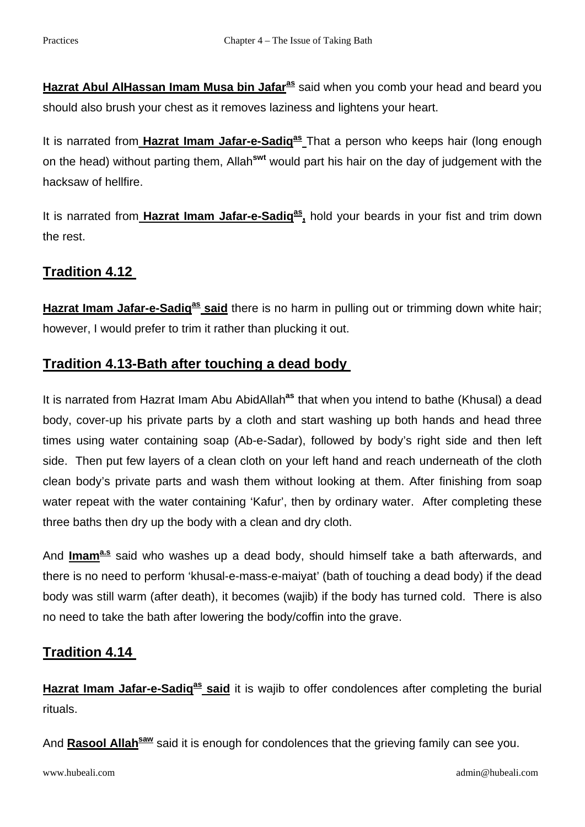**Hazrat Abul AlHassan Imam Musa bin Jafaras** said when you comb your head and beard you should also brush your chest as it removes laziness and lightens your heart.

It is narrated from Hazrat Imam Jafar-e-Sadig<sup>as</sup> That a person who keeps hair (long enough on the head) without parting them, Allah**swt** would part his hair on the day of judgement with the hacksaw of hellfire.

It is narrated from **Hazrat Imam Jafar-e-Sadiq<sup>as</sup>**, hold your beards in your fist and trim down the rest.

# **Tradition 4.12**

**Hazrat Imam Jafar-e-Sadig<sup>as</sup> said** there is no harm in pulling out or trimming down white hair; however, I would prefer to trim it rather than plucking it out.

# **Tradition 4.13-Bath after touching a dead body**

It is narrated from Hazrat Imam Abu AbidAllah<sup>as</sup> that when you intend to bathe (Khusal) a dead body, cover-up his private parts by a cloth and start washing up both hands and head three times using water containing soap (Ab-e-Sadar), followed by body's right side and then left side. Then put few layers of a clean cloth on your left hand and reach underneath of the cloth clean body's private parts and wash them without looking at them. After finishing from soap water repeat with the water containing 'Kafur', then by ordinary water. After completing these three baths then dry up the body with a clean and dry cloth.

And **Imama.s** said who washes up a dead body, should himself take a bath afterwards, and there is no need to perform 'khusal-e-mass-e-maiyat' (bath of touching a dead body) if the dead body was still warm (after death), it becomes (wajib) if the body has turned cold. There is also no need to take the bath after lowering the body/coffin into the grave.

# **Tradition 4.14**

Hazrat Imam Jafar-e-Sadiq<sup>as</sup> said it is wajib to offer condolences after completing the burial rituals.

And **Rasool Allah<sup>saw</sup>** said it is enough for condolences that the grieving family can see you.